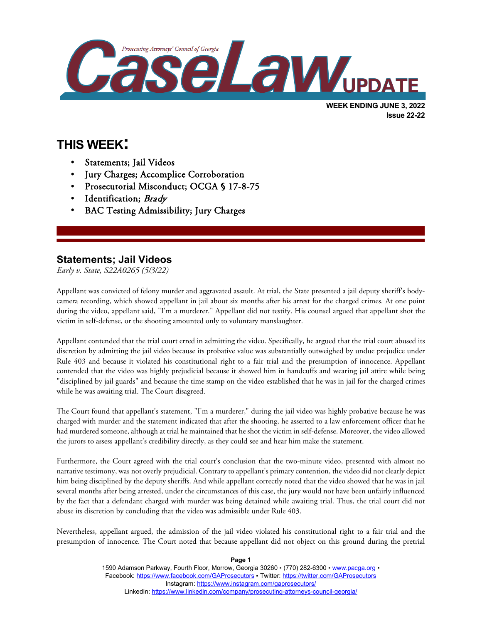

# **THIS WEEK:**

l

- Statements; Jail Videos
- Jury Charges; Accomplice Corroboration
- Prosecutorial Misconduct; OCGA § 17-8-75
- Identification; Brady
- BAC Testing Admissibility; Jury Charges

#### **Statements; Jail Videos**

*Early v. State, S22A0265 (5/3/22)*

Appellant was convicted of felony murder and aggravated assault. At trial, the State presented a jail deputy sheriff's bodycamera recording, which showed appellant in jail about six months after his arrest for the charged crimes. At one point during the video, appellant said, "I'm a murderer." Appellant did not testify. His counsel argued that appellant shot the victim in self-defense, or the shooting amounted only to voluntary manslaughter.

Appellant contended that the trial court erred in admitting the video. Specifically, he argued that the trial court abused its discretion by admitting the jail video because its probative value was substantially outweighed by undue prejudice under Rule 403 and because it violated his constitutional right to a fair trial and the presumption of innocence. Appellant contended that the video was highly prejudicial because it showed him in handcuffs and wearing jail attire while being "disciplined by jail guards" and because the time stamp on the video established that he was in jail for the charged crimes while he was awaiting trial. The Court disagreed.

The Court found that appellant's statement, "I'm a murderer," during the jail video was highly probative because he was charged with murder and the statement indicated that after the shooting, he asserted to a law enforcement officer that he had murdered someone, although at trial he maintained that he shot the victim in self-defense. Moreover, the video allowed the jurors to assess appellant's credibility directly, as they could see and hear him make the statement.

Furthermore, the Court agreed with the trial court's conclusion that the two-minute video, presented with almost no narrative testimony, was not overly prejudicial. Contrary to appellant's primary contention, the video did not clearly depict him being disciplined by the deputy sheriffs. And while appellant correctly noted that the video showed that he was in jail several months after being arrested, under the circumstances of this case, the jury would not have been unfairly influenced by the fact that a defendant charged with murder was being detained while awaiting trial. Thus, the trial court did not abuse its discretion by concluding that the video was admissible under Rule 403.

Nevertheless, appellant argued, the admission of the jail video violated his constitutional right to a fair trial and the presumption of innocence. The Court noted that because appellant did not object on this ground during the pretrial

> 1590 Adamson Parkway, Fourth Floor, Morrow, Georgia 30260 · (770) 282-6300 · [www.pacga.org](http://www.pacga.org/) · Facebook[: https://www.facebook.com/GAProsecutors](https://www.facebook.com/GAProsecutors) ▪ Twitter:<https://twitter.com/GAProsecutors> Instagram[: https://www.instagram.com/gaprosecutors/](https://www.instagram.com/gaprosecutors/) LinkedIn:<https://www.linkedin.com/company/prosecuting-attorneys-council-georgia/>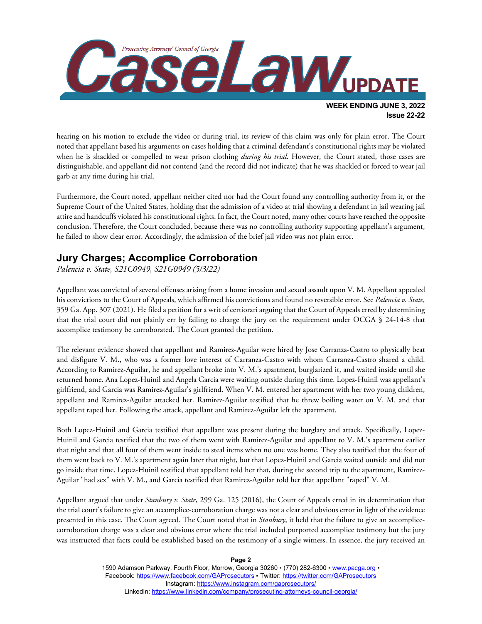

hearing on his motion to exclude the video or during trial, its review of this claim was only for plain error. The Court noted that appellant based his arguments on cases holding that a criminal defendant's constitutional rights may be violated when he is shackled or compelled to wear prison clothing *during his trial*. However, the Court stated, those cases are distinguishable, and appellant did not contend (and the record did not indicate) that he was shackled or forced to wear jail garb at any time during his trial.

Furthermore, the Court noted, appellant neither cited nor had the Court found any controlling authority from it, or the Supreme Court of the United States, holding that the admission of a video at trial showing a defendant in jail wearing jail attire and handcuffs violated his constitutional rights. In fact, the Court noted, many other courts have reached the opposite conclusion. Therefore, the Court concluded, because there was no controlling authority supporting appellant's argument, he failed to show clear error. Accordingly, the admission of the brief jail video was not plain error.

## **Jury Charges; Accomplice Corroboration**

*Palencia v. State, S21C0949, S21G0949 (5/3/22)*

Appellant was convicted of several offenses arising from a home invasion and sexual assault upon V. M. Appellant appealed his convictions to the Court of Appeals, which affirmed his convictions and found no reversible error. See *Palencia v. State*, 359 Ga. App. 307 (2021). He filed a petition for a writ of certiorari arguing that the Court of Appeals erred by determining that the trial court did not plainly err by failing to charge the jury on the requirement under OCGA § 24-14-8 that accomplice testimony be corroborated. The Court granted the petition.

The relevant evidence showed that appellant and Ramirez-Aguilar were hired by Jose Carranza-Castro to physically beat and disfigure V. M., who was a former love interest of Carranza-Castro with whom Carranza-Castro shared a child. According to Ramirez-Aguilar, he and appellant broke into V. M.'s apartment, burglarized it, and waited inside until she returned home. Ana Lopez-Huinil and Angela Garcia were waiting outside during this time. Lopez-Huinil was appellant's girlfriend, and Garcia was Ramirez-Aguilar's girlfriend. When V. M. entered her apartment with her two young children, appellant and Ramirez-Aguilar attacked her. Ramirez-Aguilar testified that he threw boiling water on V. M. and that appellant raped her. Following the attack, appellant and Ramirez-Aguilar left the apartment.

Both Lopez-Huinil and Garcia testified that appellant was present during the burglary and attack. Specifically, Lopez-Huinil and Garcia testified that the two of them went with Ramirez-Aguilar and appellant to V. M.'s apartment earlier that night and that all four of them went inside to steal items when no one was home. They also testified that the four of them went back to V. M.'s apartment again later that night, but that Lopez-Huinil and Garcia waited outside and did not go inside that time. Lopez-Huinil testified that appellant told her that, during the second trip to the apartment, Ramirez-Aguilar "had sex" with V. M., and Garcia testified that Ramirez-Aguilar told her that appellant "raped" V. M.

Appellant argued that under *Stanbury v. State*, 299 Ga. 125 (2016), the Court of Appeals erred in its determination that the trial court's failure to give an accomplice-corroboration charge was not a clear and obvious error in light of the evidence presented in this case. The Court agreed. The Court noted that in *Stanbury*, it held that the failure to give an accomplicecorroboration charge was a clear and obvious error where the trial included purported accomplice testimony but the jury was instructed that facts could be established based on the testimony of a single witness. In essence, the jury received an

> 1590 Adamson Parkway, Fourth Floor, Morrow, Georgia 30260 · (770) 282-6300 · [www.pacga.org](http://www.pacga.org/) · Facebook[: https://www.facebook.com/GAProsecutors](https://www.facebook.com/GAProsecutors) ▪ Twitter:<https://twitter.com/GAProsecutors> Instagram[: https://www.instagram.com/gaprosecutors/](https://www.instagram.com/gaprosecutors/) LinkedIn:<https://www.linkedin.com/company/prosecuting-attorneys-council-georgia/>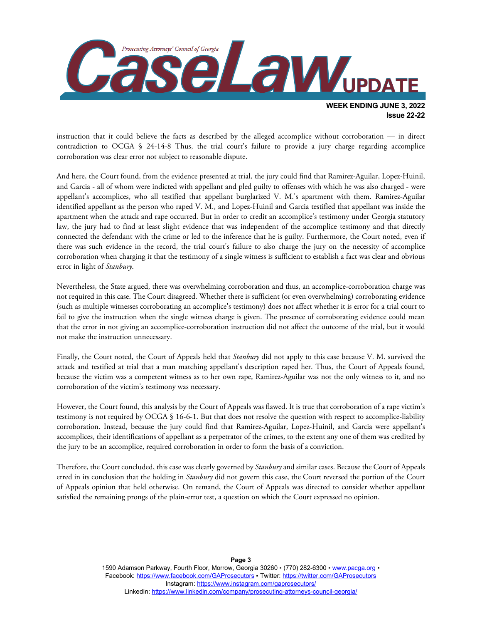

instruction that it could believe the facts as described by the alleged accomplice without corroboration — in direct contradiction to OCGA § 24-14-8 Thus, the trial court's failure to provide a jury charge regarding accomplice corroboration was clear error not subject to reasonable dispute.

And here, the Court found, from the evidence presented at trial, the jury could find that Ramirez-Aguilar, Lopez-Huinil, and Garcia - all of whom were indicted with appellant and pled guilty to offenses with which he was also charged - were appellant's accomplices, who all testified that appellant burglarized V. M.'s apartment with them. Ramirez-Aguilar identified appellant as the person who raped V. M., and Lopez-Huinil and Garcia testified that appellant was inside the apartment when the attack and rape occurred. But in order to credit an accomplice's testimony under Georgia statutory law, the jury had to find at least slight evidence that was independent of the accomplice testimony and that directly connected the defendant with the crime or led to the inference that he is guilty. Furthermore, the Court noted, even if there was such evidence in the record, the trial court's failure to also charge the jury on the necessity of accomplice corroboration when charging it that the testimony of a single witness is sufficient to establish a fact was clear and obvious error in light of *Stanbury*.

Nevertheless, the State argued, there was overwhelming corroboration and thus, an accomplice-corroboration charge was not required in this case. The Court disagreed. Whether there is sufficient (or even overwhelming) corroborating evidence (such as multiple witnesses corroborating an accomplice's testimony) does not affect whether it is error for a trial court to fail to give the instruction when the single witness charge is given. The presence of corroborating evidence could mean that the error in not giving an accomplice-corroboration instruction did not affect the outcome of the trial, but it would not make the instruction unnecessary.

Finally, the Court noted, the Court of Appeals held that *Stanbury* did not apply to this case because V. M. survived the attack and testified at trial that a man matching appellant's description raped her. Thus, the Court of Appeals found, because the victim was a competent witness as to her own rape, Ramirez-Aguilar was not the only witness to it, and no corroboration of the victim's testimony was necessary.

However, the Court found, this analysis by the Court of Appeals was flawed. It is true that corroboration of a rape victim's testimony is not required by OCGA § 16-6-1. But that does not resolve the question with respect to accomplice-liability corroboration. Instead, because the jury could find that Ramirez-Aguilar, Lopez-Huinil, and Garcia were appellant's accomplices, their identifications of appellant as a perpetrator of the crimes, to the extent any one of them was credited by the jury to be an accomplice, required corroboration in order to form the basis of a conviction.

Therefore, the Court concluded, this case was clearly governed by *Stanbury* and similar cases. Because the Court of Appeals erred in its conclusion that the holding in *Stanbury* did not govern this case, the Court reversed the portion of the Court of Appeals opinion that held otherwise. On remand, the Court of Appeals was directed to consider whether appellant satisfied the remaining prongs of the plain-error test, a question on which the Court expressed no opinion.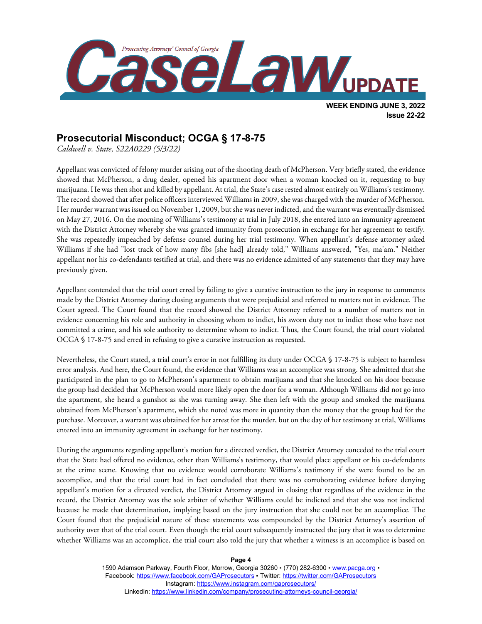

# **Prosecutorial Misconduct; OCGA § 17-8-75**

*Caldwell v. State, S22A0229 (5/3/22)*

Appellant was convicted of felony murder arising out of the shooting death of McPherson. Very briefly stated, the evidence showed that McPherson, a drug dealer, opened his apartment door when a woman knocked on it, requesting to buy marijuana. He was then shot and killed by appellant. At trial, the State's case rested almost entirely on Williams's testimony. The record showed that after police officers interviewed Williams in 2009, she was charged with the murder of McPherson. Her murder warrant was issued on November 1, 2009, but she was never indicted, and the warrant was eventually dismissed on May 27, 2016. On the morning of Williams's testimony at trial in July 2018, she entered into an immunity agreement with the District Attorney whereby she was granted immunity from prosecution in exchange for her agreement to testify. She was repeatedly impeached by defense counsel during her trial testimony. When appellant's defense attorney asked Williams if she had "lost track of how many fibs [she had] already told," Williams answered, "Yes, ma'am." Neither appellant nor his co-defendants testified at trial, and there was no evidence admitted of any statements that they may have previously given.

Appellant contended that the trial court erred by failing to give a curative instruction to the jury in response to comments made by the District Attorney during closing arguments that were prejudicial and referred to matters not in evidence. The Court agreed. The Court found that the record showed the District Attorney referred to a number of matters not in evidence concerning his role and authority in choosing whom to indict, his sworn duty not to indict those who have not committed a crime, and his sole authority to determine whom to indict. Thus, the Court found, the trial court violated OCGA § 17-8-75 and erred in refusing to give a curative instruction as requested.

Nevertheless, the Court stated, a trial court's error in not fulfilling its duty under OCGA § 17-8-75 is subject to harmless error analysis. And here, the Court found, the evidence that Williams was an accomplice was strong. She admitted that she participated in the plan to go to McPherson's apartment to obtain marijuana and that she knocked on his door because the group had decided that McPherson would more likely open the door for a woman. Although Williams did not go into the apartment, she heard a gunshot as she was turning away. She then left with the group and smoked the marijuana obtained from McPherson's apartment, which she noted was more in quantity than the money that the group had for the purchase. Moreover, a warrant was obtained for her arrest for the murder, but on the day of her testimony at trial, Williams entered into an immunity agreement in exchange for her testimony.

During the arguments regarding appellant's motion for a directed verdict, the District Attorney conceded to the trial court that the State had offered no evidence, other than Williams's testimony, that would place appellant or his co-defendants at the crime scene. Knowing that no evidence would corroborate Williams's testimony if she were found to be an accomplice, and that the trial court had in fact concluded that there was no corroborating evidence before denying appellant's motion for a directed verdict, the District Attorney argued in closing that regardless of the evidence in the record, the District Attorney was the sole arbiter of whether Williams could be indicted and that she was not indicted because he made that determination, implying based on the jury instruction that she could not be an accomplice. The Court found that the prejudicial nature of these statements was compounded by the District Attorney's assertion of authority over that of the trial court. Even though the trial court subsequently instructed the jury that it was to determine whether Williams was an accomplice, the trial court also told the jury that whether a witness is an accomplice is based on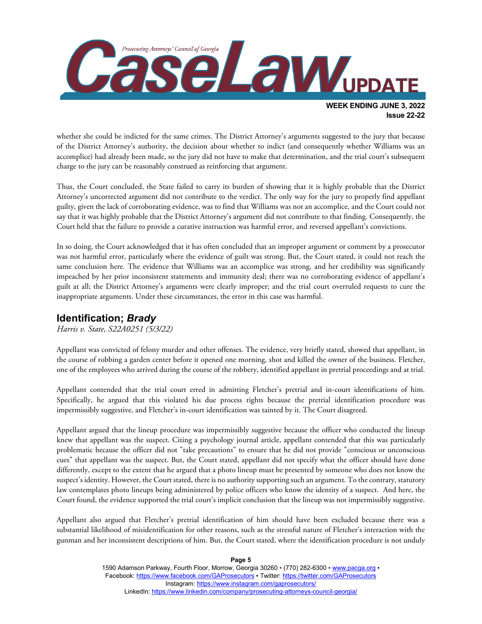

whether she could be indicted for the same crimes. The District Attorney's arguments suggested to the jury that because of the District Attorney's authority, the decision about whether to indict (and consequently whether Williams was an accomplice) had already been made, so the jury did not have to make that determination, and the trial court's subsequent charge to the jury can be reasonably construed as reinforcing that argument.

Thus, the Court concluded, the State failed to carry its burden of showing that it is highly probable that the District Attorney's uncorrected argument did not contribute to the verdict. The only way for the jury to properly find appellant guilty, given the lack of corroborating evidence, was to find that Williams was not an accomplice, and the Court could not say that it was highly probable that the District Attorney's argument did not contribute to that finding. Consequently, the Court held that the failure to provide a curative instruction was harmful error, and reversed appellant's convictions.

In so doing, the Court acknowledged that it has often concluded that an improper argument or comment by a prosecutor was not harmful error, particularly where the evidence of guilt was strong. But, the Court stated, it could not reach the same conclusion here. The evidence that Williams was an accomplice was strong, and her credibility was significantly impeached by her prior inconsistent statements and immunity deal; there was no corroborating evidence of appellant's guilt at all; the District Attorney's arguments were clearly improper; and the trial court overruled requests to cure the inappropriate arguments. Under these circumstances, the error in this case was harmful.

### **Identification;** *Brady*

*Harris v. State, S22A0251 (5/3/22)*

Appellant was convicted of felony murder and other offenses. The evidence, very briefly stated, showed that appellant, in the course of robbing a garden center before it opened one morning, shot and killed the owner of the business. Fletcher, one of the employees who arrived during the course of the robbery, identified appellant in pretrial proceedings and at trial.

Appellant contended that the trial court erred in admitting Fletcher's pretrial and in-court identifications of him. Specifically, he argued that this violated his due process rights because the pretrial identification procedure was impermissibly suggestive, and Fletcher's in-court identification was tainted by it. The Court disagreed.

Appellant argued that the lineup procedure was impermissibly suggestive because the officer who conducted the lineup knew that appellant was the suspect. Citing a psychology journal article, appellant contended that this was particularly problematic because the officer did not "take precautions" to ensure that he did not provide "conscious or unconscious cues" that appellant was the suspect. But, the Court stated, appellant did not specify what the officer should have done differently, except to the extent that he argued that a photo lineup must be presented by someone who does not know the suspect's identity. However, the Court stated, there is no authority supporting such an argument. To the contrary, statutory law contemplates photo lineups being administered by police officers who know the identity of a suspect. And here, the Court found, the evidence supported the trial court's implicit conclusion that the lineup was not impermissibly suggestive.

Appellant also argued that Fletcher's pretrial identification of him should have been excluded because there was a substantial likelihood of misidentification for other reasons, such as the stressful nature of Fletcher's interaction with the gunman and her inconsistent descriptions of him. But, the Court stated, where the identification procedure is not unduly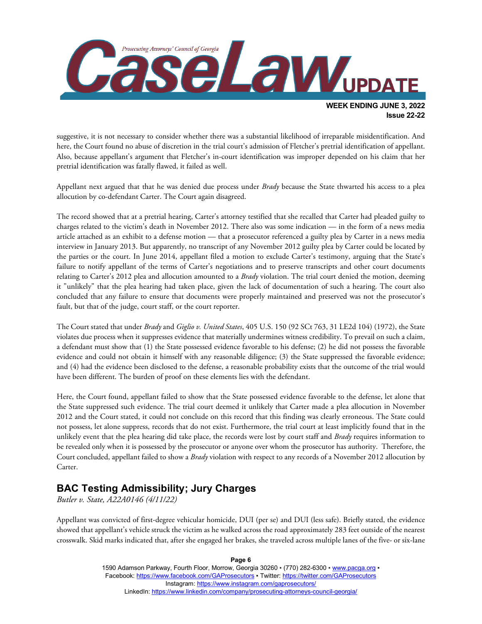

suggestive, it is not necessary to consider whether there was a substantial likelihood of irreparable misidentification. And here, the Court found no abuse of discretion in the trial court's admission of Fletcher's pretrial identification of appellant. Also, because appellant's argument that Fletcher's in-court identification was improper depended on his claim that her pretrial identification was fatally flawed, it failed as well.

Appellant next argued that that he was denied due process under *Brady* because the State thwarted his access to a plea allocution by co-defendant Carter. The Court again disagreed.

The record showed that at a pretrial hearing, Carter's attorney testified that she recalled that Carter had pleaded guilty to charges related to the victim's death in November 2012. There also was some indication — in the form of a news media article attached as an exhibit to a defense motion — that a prosecutor referenced a guilty plea by Carter in a news media interview in January 2013. But apparently, no transcript of any November 2012 guilty plea by Carter could be located by the parties or the court. In June 2014, appellant filed a motion to exclude Carter's testimony, arguing that the State's failure to notify appellant of the terms of Carter's negotiations and to preserve transcripts and other court documents relating to Carter's 2012 plea and allocution amounted to a *Brady* violation. The trial court denied the motion, deeming it "unlikely" that the plea hearing had taken place, given the lack of documentation of such a hearing. The court also concluded that any failure to ensure that documents were properly maintained and preserved was not the prosecutor's fault, but that of the judge, court staff, or the court reporter.

The Court stated that under *Brady* and *Giglio v. United States*, 405 U.S. 150 (92 SCt 763, 31 LE2d 104) (1972), the State violates due process when it suppresses evidence that materially undermines witness credibility. To prevail on such a claim, a defendant must show that (1) the State possessed evidence favorable to his defense; (2) he did not possess the favorable evidence and could not obtain it himself with any reasonable diligence; (3) the State suppressed the favorable evidence; and (4) had the evidence been disclosed to the defense, a reasonable probability exists that the outcome of the trial would have been different. The burden of proof on these elements lies with the defendant.

Here, the Court found, appellant failed to show that the State possessed evidence favorable to the defense, let alone that the State suppressed such evidence. The trial court deemed it unlikely that Carter made a plea allocution in November 2012 and the Court stated, it could not conclude on this record that this finding was clearly erroneous. The State could not possess, let alone suppress, records that do not exist. Furthermore, the trial court at least implicitly found that in the unlikely event that the plea hearing did take place, the records were lost by court staff and *Brady* requires information to be revealed only when it is possessed by the prosecutor or anyone over whom the prosecutor has authority. Therefore, the Court concluded, appellant failed to show a *Brady* violation with respect to any records of a November 2012 allocution by Carter.

#### **BAC Testing Admissibility; Jury Charges**

*Butler v. State, A22A0146 (4/11/22)*

Appellant was convicted of first-degree vehicular homicide, DUI (per se) and DUI (less safe). Briefly stated, the evidence showed that appellant's vehicle struck the victim as he walked across the road approximately 283 feet outside of the nearest crosswalk. Skid marks indicated that, after she engaged her brakes, she traveled across multiple lanes of the five- or six-lane

> 1590 Adamson Parkway, Fourth Floor, Morrow, Georgia 30260 · (770) 282-6300 · [www.pacga.org](http://www.pacga.org/) · Facebook[: https://www.facebook.com/GAProsecutors](https://www.facebook.com/GAProsecutors) ▪ Twitter:<https://twitter.com/GAProsecutors> Instagram[: https://www.instagram.com/gaprosecutors/](https://www.instagram.com/gaprosecutors/) LinkedIn:<https://www.linkedin.com/company/prosecuting-attorneys-council-georgia/>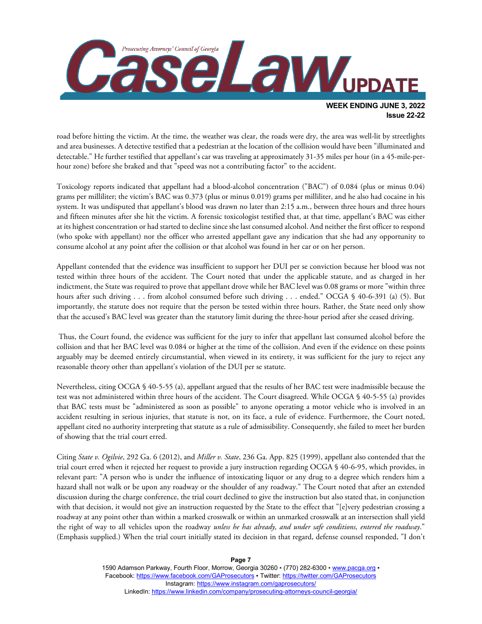

road before hitting the victim. At the time, the weather was clear, the roads were dry, the area was well-lit by streetlights and area businesses. A detective testified that a pedestrian at the location of the collision would have been "illuminated and detectable." He further testified that appellant's car was traveling at approximately 31-35 miles per hour (in a 45-mile-perhour zone) before she braked and that "speed was not a contributing factor" to the accident.

Toxicology reports indicated that appellant had a blood-alcohol concentration ("BAC") of 0.084 (plus or minus 0.04) grams per milliliter; the victim's BAC was 0.373 (plus or minus 0.019) grams per milliliter, and he also had cocaine in his system. It was undisputed that appellant's blood was drawn no later than 2:15 a.m., between three hours and three hours and fifteen minutes after she hit the victim. A forensic toxicologist testified that, at that time, appellant's BAC was either at its highest concentration or had started to decline since she last consumed alcohol. And neither the first officer to respond (who spoke with appellant) nor the officer who arrested appellant gave any indication that she had any opportunity to consume alcohol at any point after the collision or that alcohol was found in her car or on her person.

Appellant contended that the evidence was insufficient to support her DUI per se conviction because her blood was not tested within three hours of the accident. The Court noted that under the applicable statute, and as charged in her indictment, the State was required to prove that appellant drove while her BAC level was 0.08 grams or more "within three hours after such driving . . . from alcohol consumed before such driving . . . ended." OCGA § 40-6-391 (a) (5). But importantly, the statute does not require that the person be tested within three hours. Rather, the State need only show that the accused's BAC level was greater than the statutory limit during the three-hour period after she ceased driving.

Thus, the Court found, the evidence was sufficient for the jury to infer that appellant last consumed alcohol before the collision and that her BAC level was 0.084 or higher at the time of the collision. And even if the evidence on these points arguably may be deemed entirely circumstantial, when viewed in its entirety, it was sufficient for the jury to reject any reasonable theory other than appellant's violation of the DUI per se statute.

Nevertheless, citing OCGA § 40-5-55 (a), appellant argued that the results of her BAC test were inadmissible because the test was not administered within three hours of the accident. The Court disagreed. While OCGA § 40-5-55 (a) provides that BAC tests must be "administered as soon as possible" to anyone operating a motor vehicle who is involved in an accident resulting in serious injuries, that statute is not, on its face, a rule of evidence. Furthermore, the Court noted, appellant cited no authority interpreting that statute as a rule of admissibility. Consequently, she failed to meet her burden of showing that the trial court erred.

Citing *State v. Ogilvie*, 292 Ga. 6 (2012), and *Miller v. State*, 236 Ga. App. 825 (1999), appellant also contended that the trial court erred when it rejected her request to provide a jury instruction regarding OCGA § 40-6-95, which provides, in relevant part: "A person who is under the influence of intoxicating liquor or any drug to a degree which renders him a hazard shall not walk or be upon any roadway or the shoulder of any roadway." The Court noted that after an extended discussion during the charge conference, the trial court declined to give the instruction but also stated that, in conjunction with that decision, it would not give an instruction requested by the State to the effect that "[e]very pedestrian crossing a roadway at any point other than within a marked crosswalk or within an unmarked crosswalk at an intersection shall yield the right of way to all vehicles upon the roadway *unless he has already, and under safe conditions, entered the roadway*." (Emphasis supplied.) When the trial court initially stated its decision in that regard, defense counsel responded, "I don't